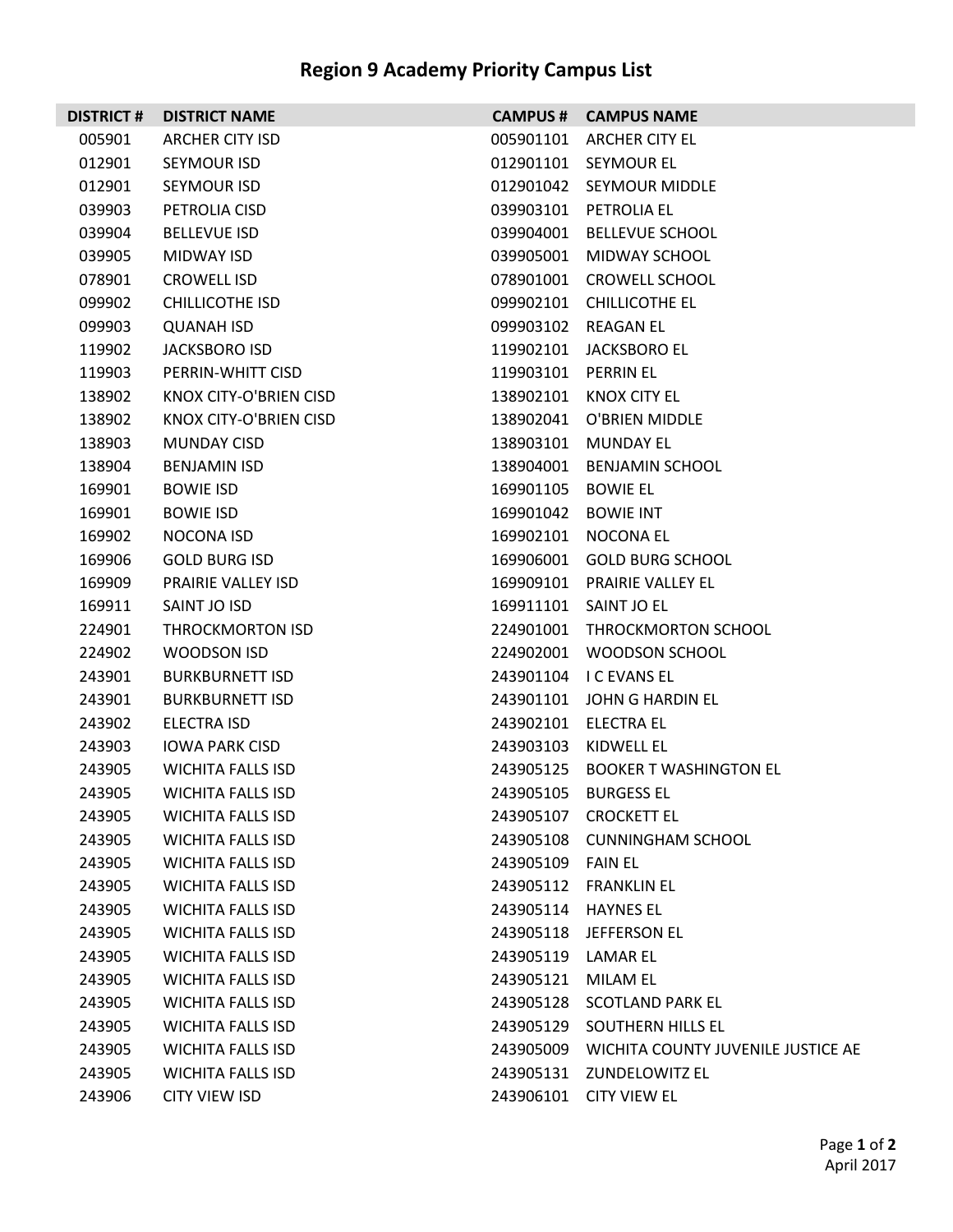## **Region 9 Academy Priority Campus List**

|        | <b>DISTRICT # DISTRICT NAME</b> |                     | <b>CAMPUS # CAMPUS NAME</b>                  |
|--------|---------------------------------|---------------------|----------------------------------------------|
| 005901 | <b>ARCHER CITY ISD</b>          | 005901101           | <b>ARCHER CITY EL</b>                        |
| 012901 | SEYMOUR ISD                     |                     | 012901101 SEYMOUR EL                         |
| 012901 | SEYMOUR ISD                     |                     | 012901042 SEYMOUR MIDDLE                     |
| 039903 | PETROLIA CISD                   |                     | 039903101 PETROLIA EL                        |
| 039904 | <b>BELLEVUE ISD</b>             | 039904001           | <b>BELLEVUE SCHOOL</b>                       |
| 039905 | MIDWAY ISD                      | 039905001           | MIDWAY SCHOOL                                |
| 078901 | <b>CROWELL ISD</b>              |                     | 078901001 CROWELL SCHOOL                     |
| 099902 | CHILLICOTHE ISD                 |                     | 099902101 CHILLICOTHE EL                     |
| 099903 | <b>QUANAH ISD</b>               |                     | 099903102 REAGAN EL                          |
| 119902 | JACKSBORO ISD                   | 119902101           | JACKSBORO EL                                 |
| 119903 | PERRIN-WHITT CISD               | 119903101           | <b>PERRIN EL</b>                             |
| 138902 | KNOX CITY-O'BRIEN CISD          |                     | 138902101 KNOX CITY EL                       |
| 138902 | KNOX CITY-O'BRIEN CISD          |                     | 138902041 O'BRIEN MIDDLE                     |
| 138903 | <b>MUNDAY CISD</b>              | 138903101           | MUNDAY EL                                    |
| 138904 | <b>BENJAMIN ISD</b>             | 138904001           | BENJAMIN SCHOOL                              |
| 169901 | <b>BOWIE ISD</b>                | 169901105           | BOWIE EL                                     |
| 169901 | <b>BOWIE ISD</b>                | 169901042           | <b>BOWIE INT</b>                             |
| 169902 | NOCONA ISD                      |                     | 169902101 NOCONA EL                          |
| 169906 | <b>GOLD BURG ISD</b>            |                     | 169906001 GOLD BURG SCHOOL                   |
| 169909 | <b>PRAIRIE VALLEY ISD</b>       |                     | 169909101 PRAIRIE VALLEY EL                  |
| 169911 | SAINT JO ISD                    |                     | 169911101 SAINT JO EL                        |
| 224901 | THROCKMORTON ISD                | 224901001           | THROCKMORTON SCHOOL                          |
| 224902 | WOODSON ISD                     |                     | 224902001 WOODSON SCHOOL                     |
| 243901 | <b>BURKBURNETT ISD</b>          |                     | 243901104 I C EVANS EL                       |
| 243901 | <b>BURKBURNETT ISD</b>          |                     | 243901101 JOHN G HARDIN EL                   |
| 243902 | ELECTRA ISD                     |                     | 243902101 ELECTRA EL                         |
| 243903 | <b>IOWA PARK CISD</b>           | 243903103           | KIDWELL EL                                   |
| 243905 | <b>WICHITA FALLS ISD</b>        |                     | 243905125 BOOKER T WASHINGTON EL             |
| 243905 | <b>WICHITA FALLS ISD</b>        |                     | 243905105 BURGESS EL                         |
| 243905 | <b>WICHITA FALLS ISD</b>        |                     | 243905107 CROCKETT EL                        |
| 243905 | <b>WICHITA FALLS ISD</b>        |                     | 243905108 CUNNINGHAM SCHOOL                  |
| 243905 | <b>WICHITA FALLS ISD</b>        | 243905109 FAIN EL   |                                              |
| 243905 | <b>WICHITA FALLS ISD</b>        |                     | 243905112 FRANKLIN EL                        |
| 243905 | <b>WICHITA FALLS ISD</b>        | 243905114 HAYNES EL |                                              |
| 243905 | <b>WICHITA FALLS ISD</b>        |                     | 243905118 JEFFERSON EL                       |
| 243905 | <b>WICHITA FALLS ISD</b>        | 243905119 LAMAR EL  |                                              |
| 243905 | <b>WICHITA FALLS ISD</b>        | 243905121 MILAM EL  |                                              |
| 243905 | <b>WICHITA FALLS ISD</b>        |                     | 243905128 SCOTLAND PARK EL                   |
| 243905 | <b>WICHITA FALLS ISD</b>        |                     | 243905129 SOUTHERN HILLS EL                  |
| 243905 | <b>WICHITA FALLS ISD</b>        |                     | 243905009 WICHITA COUNTY JUVENILE JUSTICE AE |
| 243905 | <b>WICHITA FALLS ISD</b>        |                     | 243905131 ZUNDELOWITZ EL                     |
| 243906 | <b>CITY VIEW ISD</b>            |                     | 243906101 CITY VIEW EL                       |